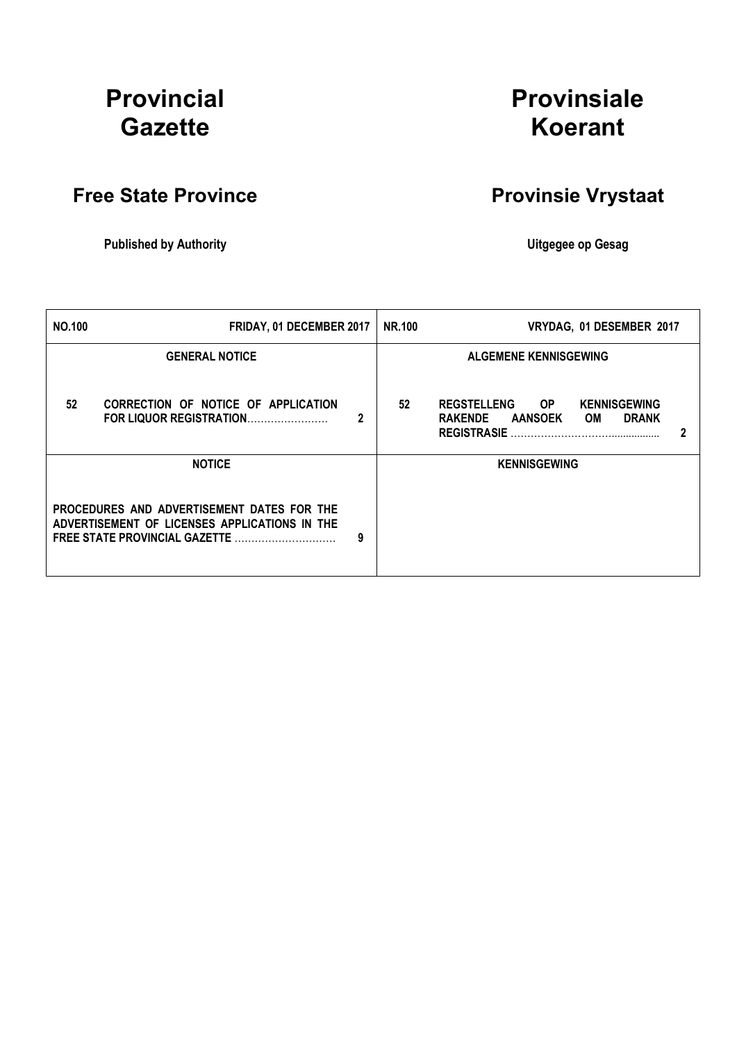# Provincial **Gazette**

# Provinsiale Koerant

# Free State Province **Provinsie Vrystaat**

Published by Authority **National Execution Control Control Control Control Control Control Control Control Control Control Control Control Control Control Control Control Control Control Control Control Control Control Con** 

| <b>NO.100</b>                                                                                                                            | FRIDAY, 01 DECEMBER 2017                                       |   | <b>NR.100</b> | VRYDAG, 01 DESEMBER 2017                                                                                                         |   |
|------------------------------------------------------------------------------------------------------------------------------------------|----------------------------------------------------------------|---|---------------|----------------------------------------------------------------------------------------------------------------------------------|---|
|                                                                                                                                          | <b>GENERAL NOTICE</b>                                          |   |               | <b>ALGEMENE KENNISGEWING</b>                                                                                                     |   |
| 52                                                                                                                                       | CORRECTION OF NOTICE OF APPLICATION<br>FOR LIQUOR REGISTRATION | 2 | 52            | <b>REGSTELLENG</b><br><b>KENNISGEWING</b><br>OP.<br><b>DRANK</b><br><b>RAKENDE</b><br><b>AANSOEK</b><br>OM<br><b>REGISTRASIE</b> | 2 |
|                                                                                                                                          | <b>NOTICE</b>                                                  |   |               | <b>KENNISGEWING</b>                                                                                                              |   |
| PROCEDURES AND ADVERTISEMENT DATES FOR THE<br>ADVERTISEMENT OF LICENSES APPLICATIONS IN THE<br><b>FREE STATE PROVINCIAL GAZETTE</b><br>9 |                                                                |   |               |                                                                                                                                  |   |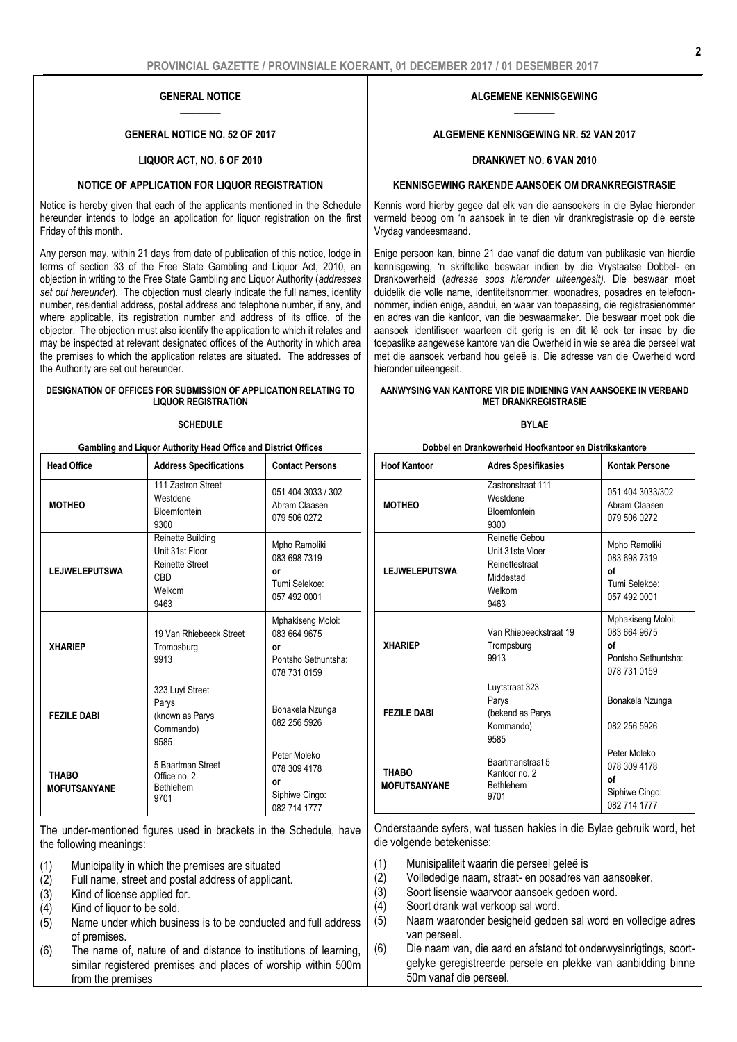#### GENERAL NOTICE  $\overline{\phantom{a}}$

#### GENERAL NOTICE NO. 52 OF 2017

#### LIQUOR ACT, NO. 6 OF 2010

#### NOTICE OF APPLICATION FOR LIQUOR REGISTRATION

Notice is hereby given that each of the applicants mentioned in the Schedule hereunder intends to lodge an application for liquor registration on the first Friday of this month.

Any person may, within 21 days from date of publication of this notice, lodge in terms of section 33 of the Free State Gambling and Liquor Act, 2010, an objection in writing to the Free State Gambling and Liquor Authority (*addresses set out hereunder*). The objection must clearly indicate the full names, identity number, residential address, postal address and telephone number, if any, and where applicable, its registration number and address of its office, of the objector. The objection must also identify the application to which it relates and may be inspected at relevant designated offices of the Authority in which area the premises to which the application relates are situated. The addresses of the Authority are set out hereunder.

#### DESIGNATION OF OFFICES FOR SUBMISSION OF APPLICATION RELATING TO LIQUOR REGISTRATION

#### **SCHEDULE**

| Gambling and Liquor Authority Head Office and District Offices |                                                                                                |                                                                                |  |  |
|----------------------------------------------------------------|------------------------------------------------------------------------------------------------|--------------------------------------------------------------------------------|--|--|
| <b>Head Office</b>                                             | <b>Address Specifications</b>                                                                  | <b>Contact Persons</b>                                                         |  |  |
| <b>MOTHEO</b>                                                  | 111 Zastron Street<br>Westdene<br><b>Bloemfontein</b><br>9300                                  | 051 404 3033 / 302<br>Abram Claasen<br>079 506 0272                            |  |  |
| <b>LEJWELEPUTSWA</b>                                           | Reinette Building<br>Unit 31st Floor<br><b>Reinette Street</b><br><b>CBD</b><br>Welkom<br>9463 | Mpho Ramoliki<br>083 698 7319<br>or<br>Tumi Selekoe:<br>057 492 0001           |  |  |
| <b>XHARIEP</b>                                                 | 19 Van Rhiebeeck Street<br>Trompsburg<br>9913                                                  | Mphakiseng Moloi:<br>083 664 9675<br>٥r<br>Pontsho Sethuntsha:<br>078 731 0159 |  |  |
| <b>FEZILE DABI</b>                                             | 323 Luyt Street<br>Parys<br>(known as Parys<br>Commando)<br>9585                               | Bonakela Nzunga<br>082 256 5926                                                |  |  |
| <b>THABO</b><br><b>MOFUTSANYANE</b>                            | 5 Baartman Street<br>Office no. 2<br>Bethlehem<br>9701                                         | Peter Moleko<br>078 309 4178<br>or<br>Siphiwe Cingo:<br>082 714 1777           |  |  |

The under-mentioned figures used in brackets in the Schedule, have the following meanings:

- (1) Municipality in which the premises are situated
- (2) Full name, street and postal address of applicant.
- (3) Kind of license applied for.<br>(4) Kind of liquor to be sold.
- Kind of liquor to be sold.
- $(5)$  Name under which business is to be conducted and full address of premises.
- (6) The name of, nature of and distance to institutions of learning, similar registered premises and places of worship within 500m from the premises

#### ALGEMENE KENNISGEWING  $\overline{\phantom{a}}$

#### ALGEMENE KENNISGEWING NR. 52 VAN 2017

#### DRANKWET NO. 6 VAN 2010

#### KENNISGEWING RAKENDE AANSOEK OM DRANKREGISTRASIE

Kennis word hierby gegee dat elk van die aansoekers in die Bylae hieronder vermeld beoog om 'n aansoek in te dien vir drankregistrasie op die eerste Vrydag vandeesmaand.

Enige persoon kan, binne 21 dae vanaf die datum van publikasie van hierdie kennisgewing, 'n skriftelike beswaar indien by die Vrystaatse Dobbel- en Drankowerheid (*adresse soos hieronder uiteengesit).* Die beswaar moet duidelik die volle name, identiteitsnommer, woonadres, posadres en telefoonnommer, indien enige, aandui, en waar van toepassing, die registrasienommer en adres van die kantoor, van die beswaarmaker. Die beswaar moet ook die aansoek identifiseer waarteen dit gerig is en dit lê ook ter insae by die toepaslike aangewese kantore van die Owerheid in wie se area die perseel wat met die aansoek verband hou geleë is. Die adresse van die Owerheid word hieronder uiteengesit.

#### AANWYSING VAN KANTORE VIR DIE INDIENING VAN AANSOEKE IN VERBAND MET DRANKREGISTRASIE

#### BYLAE

| Dobbel en Drankowerheid Hoofkantoor en Distrikskantore |  |
|--------------------------------------------------------|--|
|--------------------------------------------------------|--|

| <b>Hoof Kantoor</b>                 | <b>Adres Spesifikasies</b>                                                          | Kontak Persone                                                                 |
|-------------------------------------|-------------------------------------------------------------------------------------|--------------------------------------------------------------------------------|
| <b>MOTHEO</b>                       | <b>Zastronstraat 111</b><br>Westdene<br>Bloemfontein<br>9300                        | 051 404 3033/302<br>Abram Claasen<br>079 506 0272                              |
| <b>LEJWELEPUTSWA</b>                | Reinette Gebou<br>Unit 31ste Vloer<br>Reinettestraat<br>Middestad<br>Welkom<br>9463 | Mpho Ramoliki<br>083 698 7319<br>οf<br>Tumi Selekoe:<br>057 492 0001           |
| <b>XHARIEP</b>                      | Van Rhiebeeckstraat 19<br>Trompsburg<br>9913                                        | Mphakiseng Moloi:<br>083 664 9675<br>οf<br>Pontsho Sethuntsha:<br>078 731 0159 |
| <b>FEZILE DABI</b>                  | Luytstraat 323<br>Parys<br>(bekend as Parys<br>Kommando)<br>9585                    | Bonakela Nzunga<br>082 256 5926                                                |
| <b>THABO</b><br><b>MOFUTSANYANE</b> | Baartmanstraat 5<br>Kantoor no. 2<br><b>Bethlehem</b><br>9701                       | Peter Moleko<br>078 309 4178<br>οf<br>Siphiwe Cingo:<br>082 714 1777           |

Onderstaande syfers, wat tussen hakies in die Bylae gebruik word, het die volgende betekenisse:

- (1) Munisipaliteit waarin die perseel geleë is
- (2) Vollededige naam, straat- en posadres van aansoeker.
- (3) Soort lisensie waarvoor aansoek gedoen word.
- (4) Soort drank wat verkoop sal word.
- (5) Naam waaronder besigheid gedoen sal word en volledige adres van perseel.
- (6) Die naam van, die aard en afstand tot onderwysinrigtings, soortgelyke geregistreerde persele en plekke van aanbidding binne 50m vanaf die perseel.